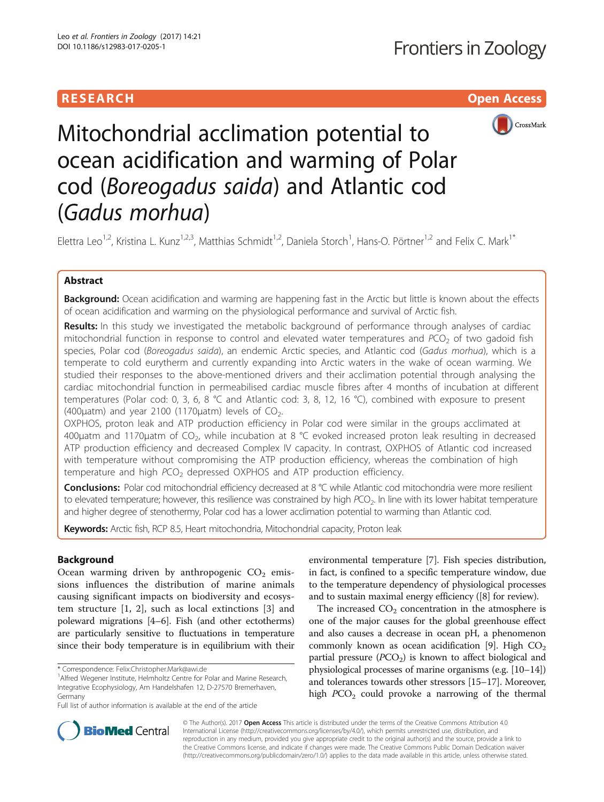# **RESEARCH CHILD CONTROL** CONTROL CONTROL CONTROL CONTROL CONTROL CONTROL CONTROL CONTROL CONTROL CONTROL CONTROL



Mitochondrial acclimation potential to ocean acidification and warming of Polar cod (Boreogadus saida) and Atlantic cod (Gadus morhua)

Elettra Leo<sup>1,2</sup>, Kristina L. Kunz<sup>1,2,3</sup>, Matthias Schmidt<sup>1,2</sup>, Daniela Storch<sup>1</sup>, Hans-O. Pörtner<sup>1,2</sup> and Felix C. Mark<sup>1\*</sup>

## Abstract

Background: Ocean acidification and warming are happening fast in the Arctic but little is known about the effects of ocean acidification and warming on the physiological performance and survival of Arctic fish.

Results: In this study we investigated the metabolic background of performance through analyses of cardiac mitochondrial function in response to control and elevated water temperatures and  $PCO<sub>2</sub>$  of two gadoid fish species, Polar cod (Boreogadus saida), an endemic Arctic species, and Atlantic cod (Gadus morhua), which is a temperate to cold eurytherm and currently expanding into Arctic waters in the wake of ocean warming. We studied their responses to the above-mentioned drivers and their acclimation potential through analysing the cardiac mitochondrial function in permeabilised cardiac muscle fibres after 4 months of incubation at different temperatures (Polar cod: 0, 3, 6, 8 °C and Atlantic cod: 3, 8, 12, 16 °C), combined with exposure to present (400 $\mu$ atm) and year 2100 (1170 $\mu$ atm) levels of CO<sub>2</sub>.

OXPHOS, proton leak and ATP production efficiency in Polar cod were similar in the groups acclimated at 400μatm and 1170μatm of  $CO<sub>2</sub>$ , while incubation at 8 °C evoked increased proton leak resulting in decreased ATP production efficiency and decreased Complex IV capacity. In contrast, OXPHOS of Atlantic cod increased with temperature without compromising the ATP production efficiency, whereas the combination of high temperature and high PCO<sub>2</sub> depressed OXPHOS and ATP production efficiency.

Conclusions: Polar cod mitochondrial efficiency decreased at 8 °C while Atlantic cod mitochondria were more resilient to elevated temperature; however, this resilience was constrained by high PCO<sub>2</sub>. In line with its lower habitat temperature and higher degree of stenothermy, Polar cod has a lower acclimation potential to warming than Atlantic cod.

Keywords: Arctic fish, RCP 8.5, Heart mitochondria, Mitochondrial capacity, Proton leak

## Background

Ocean warming driven by anthropogenic  $CO<sub>2</sub>$  emissions influences the distribution of marine animals causing significant impacts on biodiversity and ecosystem structure [\[1](#page-9-0), [2](#page-9-0)], such as local extinctions [[3\]](#page-9-0) and poleward migrations [\[4](#page-9-0)–[6\]](#page-9-0). Fish (and other ectotherms) are particularly sensitive to fluctuations in temperature since their body temperature is in equilibrium with their

environmental temperature [\[7](#page-9-0)]. Fish species distribution, in fact, is confined to a specific temperature window, due to the temperature dependency of physiological processes and to sustain maximal energy efficiency ([[8\]](#page-9-0) for review).

The increased  $CO<sub>2</sub>$  concentration in the atmosphere is one of the major causes for the global greenhouse effect and also causes a decrease in ocean pH, a phenomenon commonly known as ocean acidification [\[9](#page-9-0)]. High  $CO<sub>2</sub>$ partial pressure  $(PCO<sub>2</sub>)$  is known to affect biological and physiological processes of marine organisms (e.g. [\[10](#page-9-0)–[14](#page-9-0)]) and tolerances towards other stressors [[15](#page-9-0)–[17\]](#page-9-0). Moreover, high  $PCO<sub>2</sub>$  could provoke a narrowing of the thermal



© The Author(s). 2017 **Open Access** This article is distributed under the terms of the Creative Commons Attribution 4.0 International License [\(http://creativecommons.org/licenses/by/4.0/](http://creativecommons.org/licenses/by/4.0/)), which permits unrestricted use, distribution, and reproduction in any medium, provided you give appropriate credit to the original author(s) and the source, provide a link to the Creative Commons license, and indicate if changes were made. The Creative Commons Public Domain Dedication waiver [\(http://creativecommons.org/publicdomain/zero/1.0/](http://creativecommons.org/publicdomain/zero/1.0/)) applies to the data made available in this article, unless otherwise stated.

<sup>\*</sup> Correspondence: [Felix.Christopher.Mark@awi.de](mailto:Felix.Christopher.Mark@awi.de) <sup>1</sup>

<sup>&</sup>lt;sup>1</sup> Alfred Wegener Institute, Helmholtz Centre for Polar and Marine Research, Integrative Ecophysiology, Am Handelshafen 12, D-27570 Bremerhaven, Germany

Full list of author information is available at the end of the article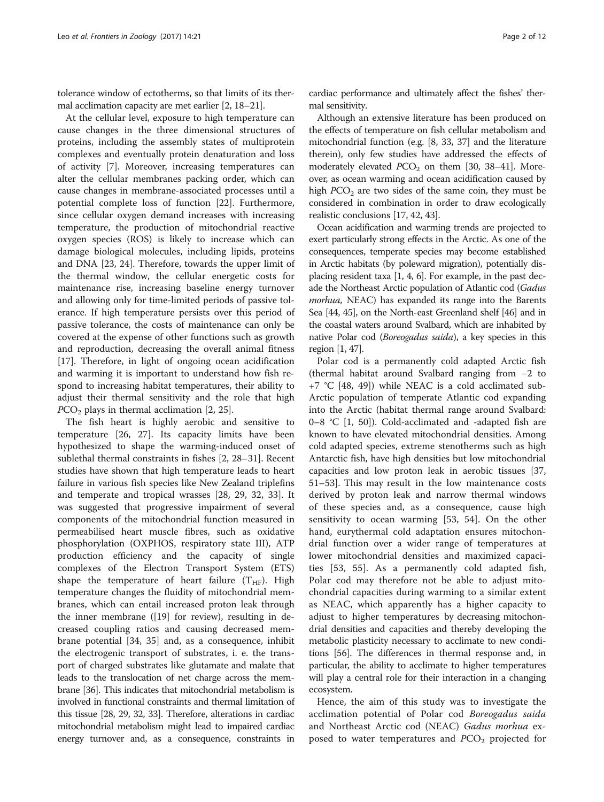tolerance window of ectotherms, so that limits of its thermal acclimation capacity are met earlier [[2](#page-9-0), [18](#page-9-0)–[21](#page-9-0)].

At the cellular level, exposure to high temperature can cause changes in the three dimensional structures of proteins, including the assembly states of multiprotein complexes and eventually protein denaturation and loss of activity [[7\]](#page-9-0). Moreover, increasing temperatures can alter the cellular membranes packing order, which can cause changes in membrane-associated processes until a potential complete loss of function [\[22\]](#page-9-0). Furthermore, since cellular oxygen demand increases with increasing temperature, the production of mitochondrial reactive oxygen species (ROS) is likely to increase which can damage biological molecules, including lipids, proteins and DNA [[23, 24\]](#page-9-0). Therefore, towards the upper limit of the thermal window, the cellular energetic costs for maintenance rise, increasing baseline energy turnover and allowing only for time-limited periods of passive tolerance. If high temperature persists over this period of passive tolerance, the costs of maintenance can only be covered at the expense of other functions such as growth and reproduction, decreasing the overall animal fitness [[17\]](#page-9-0). Therefore, in light of ongoing ocean acidification and warming it is important to understand how fish respond to increasing habitat temperatures, their ability to adjust their thermal sensitivity and the role that high  $PCO<sub>2</sub>$  plays in thermal acclimation [\[2](#page-9-0), [25](#page-9-0)].

The fish heart is highly aerobic and sensitive to temperature [[26, 27\]](#page-9-0). Its capacity limits have been hypothesized to shape the warming-induced onset of sublethal thermal constraints in fishes [[2, 28](#page-9-0)–[31](#page-9-0)]. Recent studies have shown that high temperature leads to heart failure in various fish species like New Zealand triplefins and temperate and tropical wrasses [\[28, 29](#page-9-0), [32, 33](#page-9-0)]. It was suggested that progressive impairment of several components of the mitochondrial function measured in permeabilised heart muscle fibres, such as oxidative phosphorylation (OXPHOS, respiratory state III), ATP production efficiency and the capacity of single complexes of the Electron Transport System (ETS) shape the temperature of heart failure  $(T<sub>HF</sub>)$ . High temperature changes the fluidity of mitochondrial membranes, which can entail increased proton leak through the inner membrane ([[19\]](#page-9-0) for review), resulting in decreased coupling ratios and causing decreased membrane potential [[34, 35](#page-9-0)] and, as a consequence, inhibit the electrogenic transport of substrates, i. e. the transport of charged substrates like glutamate and malate that leads to the translocation of net charge across the membrane [[36](#page-9-0)]. This indicates that mitochondrial metabolism is involved in functional constraints and thermal limitation of this tissue [\[28, 29](#page-9-0), [32, 33\]](#page-9-0). Therefore, alterations in cardiac mitochondrial metabolism might lead to impaired cardiac energy turnover and, as a consequence, constraints in cardiac performance and ultimately affect the fishes' thermal sensitivity.

Although an extensive literature has been produced on the effects of temperature on fish cellular metabolism and mitochondrial function (e.g. [\[8, 33](#page-9-0), [37\]](#page-9-0) and the literature therein), only few studies have addressed the effects of moderately elevated  $PCO<sub>2</sub>$  on them [\[30, 38](#page-9-0)–[41](#page-9-0)]. Moreover, as ocean warming and ocean acidification caused by high  $PCO<sub>2</sub>$  are two sides of the same coin, they must be considered in combination in order to draw ecologically realistic conclusions [[17](#page-9-0), [42,](#page-9-0) [43\]](#page-10-0).

Ocean acidification and warming trends are projected to exert particularly strong effects in the Arctic. As one of the consequences, temperate species may become established in Arctic habitats (by poleward migration), potentially displacing resident taxa [[1](#page-9-0), [4, 6](#page-9-0)]. For example, in the past decade the Northeast Arctic population of Atlantic cod (Gadus morhua, NEAC) has expanded its range into the Barents Sea [\[44](#page-10-0), [45\]](#page-10-0), on the North-east Greenland shelf [[46](#page-10-0)] and in the coastal waters around Svalbard, which are inhabited by native Polar cod (Boreogadus saida), a key species in this region [\[1,](#page-9-0) [47\]](#page-10-0).

Polar cod is a permanently cold adapted Arctic fish (thermal habitat around Svalbard ranging from −2 to +7 °C [[48, 49](#page-10-0)]) while NEAC is a cold acclimated sub-Arctic population of temperate Atlantic cod expanding into the Arctic (habitat thermal range around Svalbard: 0–8 °C [[1,](#page-9-0) [50](#page-10-0)]). Cold-acclimated and -adapted fish are known to have elevated mitochondrial densities. Among cold adapted species, extreme stenotherms such as high Antarctic fish, have high densities but low mitochondrial capacities and low proton leak in aerobic tissues [[37](#page-9-0), [51](#page-10-0)–[53](#page-10-0)]. This may result in the low maintenance costs derived by proton leak and narrow thermal windows of these species and, as a consequence, cause high sensitivity to ocean warming [\[53](#page-10-0), [54](#page-10-0)]. On the other hand, eurythermal cold adaptation ensures mitochondrial function over a wider range of temperatures at lower mitochondrial densities and maximized capacities [[53, 55\]](#page-10-0). As a permanently cold adapted fish, Polar cod may therefore not be able to adjust mitochondrial capacities during warming to a similar extent as NEAC, which apparently has a higher capacity to adjust to higher temperatures by decreasing mitochondrial densities and capacities and thereby developing the metabolic plasticity necessary to acclimate to new conditions [\[56\]](#page-10-0). The differences in thermal response and, in particular, the ability to acclimate to higher temperatures will play a central role for their interaction in a changing ecosystem.

Hence, the aim of this study was to investigate the acclimation potential of Polar cod Boreogadus saida and Northeast Arctic cod (NEAC) Gadus morhua exposed to water temperatures and  $PCO<sub>2</sub>$  projected for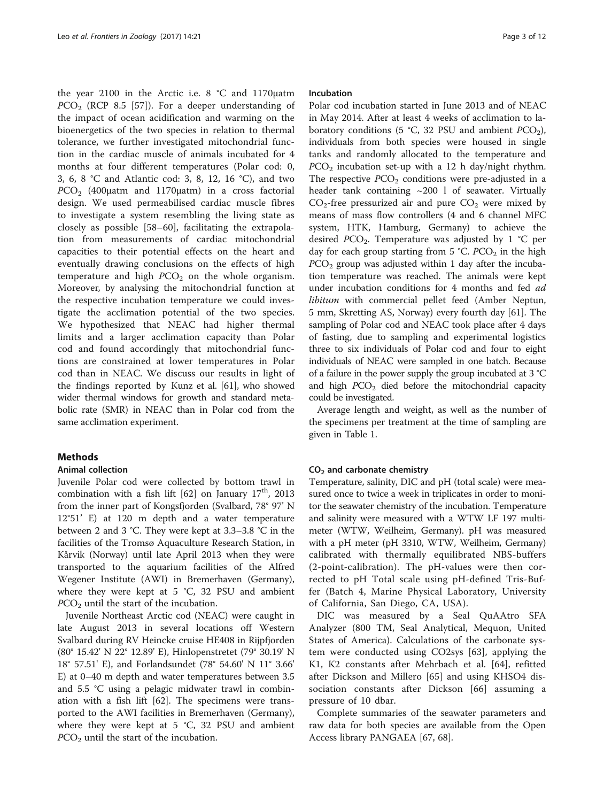the year 2100 in the Arctic i.e. 8 °C and 1170μatm  $PCO<sub>2</sub>$  (RCP 8.5 [[57\]](#page-10-0)). For a deeper understanding of the impact of ocean acidification and warming on the bioenergetics of the two species in relation to thermal tolerance, we further investigated mitochondrial function in the cardiac muscle of animals incubated for 4 months at four different temperatures (Polar cod: 0, 3, 6, 8 °C and Atlantic cod: 3, 8, 12, 16 °C), and two  $PCO<sub>2</sub>$  (400μatm and 1170μatm) in a cross factorial design. We used permeabilised cardiac muscle fibres to investigate a system resembling the living state as closely as possible [[58](#page-10-0)–[60\]](#page-10-0), facilitating the extrapolation from measurements of cardiac mitochondrial capacities to their potential effects on the heart and eventually drawing conclusions on the effects of high temperature and high  $PCO<sub>2</sub>$  on the whole organism. Moreover, by analysing the mitochondrial function at the respective incubation temperature we could investigate the acclimation potential of the two species. We hypothesized that NEAC had higher thermal limits and a larger acclimation capacity than Polar cod and found accordingly that mitochondrial functions are constrained at lower temperatures in Polar cod than in NEAC. We discuss our results in light of the findings reported by Kunz et al. [[61\]](#page-10-0), who showed wider thermal windows for growth and standard metabolic rate (SMR) in NEAC than in Polar cod from the same acclimation experiment.

### Methods

#### Animal collection

Juvenile Polar cod were collected by bottom trawl in combination with a fish lift  $[62]$  on January  $17<sup>th</sup>$ , 2013 from the inner part of Kongsfjorden (Svalbard, 78° 97' N 12°51' E) at 120 m depth and a water temperature between 2 and 3 °C. They were kept at 3.3–3.8 °C in the facilities of the Tromsø Aquaculture Research Station, in Kårvik (Norway) until late April 2013 when they were transported to the aquarium facilities of the Alfred Wegener Institute (AWI) in Bremerhaven (Germany), where they were kept at 5 °C, 32 PSU and ambient  $PCO<sub>2</sub>$  until the start of the incubation.

Juvenile Northeast Arctic cod (NEAC) were caught in late August 2013 in several locations off Western Svalbard during RV Heincke cruise HE408 in Rijpfjorden (80° 15.42' N 22° 12.89' E), Hinlopenstretet (79° 30.19' N 18° 57.51' E), and Forlandsundet (78° 54.60' N 11° 3.66' E) at 0–40 m depth and water temperatures between 3.5 and 5.5 °C using a pelagic midwater trawl in combination with a fish lift [[62](#page-10-0)]. The specimens were transported to the AWI facilities in Bremerhaven (Germany), where they were kept at 5 °C, 32 PSU and ambient  $PCO<sub>2</sub>$  until the start of the incubation.

### Incubation

Polar cod incubation started in June 2013 and of NEAC in May 2014. After at least 4 weeks of acclimation to laboratory conditions (5 °C, 32 PSU and ambient  $PCO<sub>2</sub>$ ), individuals from both species were housed in single tanks and randomly allocated to the temperature and  $PCO<sub>2</sub>$  incubation set-up with a 12 h day/night rhythm. The respective  $PCO<sub>2</sub>$  conditions were pre-adjusted in a header tank containing  $\sim$ 200 l of seawater. Virtually  $CO<sub>2</sub>$ -free pressurized air and pure  $CO<sub>2</sub>$  were mixed by means of mass flow controllers (4 and 6 channel MFC system, HTK, Hamburg, Germany) to achieve the desired  $PCO<sub>2</sub>$ . Temperature was adjusted by 1 °C per day for each group starting from 5 °C.  $PCO<sub>2</sub>$  in the high  $PCO<sub>2</sub>$  group was adjusted within 1 day after the incubation temperature was reached. The animals were kept under incubation conditions for 4 months and fed ad libitum with commercial pellet feed (Amber Neptun, 5 mm, Skretting AS, Norway) every fourth day [\[61\]](#page-10-0). The sampling of Polar cod and NEAC took place after 4 days of fasting, due to sampling and experimental logistics three to six individuals of Polar cod and four to eight individuals of NEAC were sampled in one batch. Because of a failure in the power supply the group incubated at 3 °C and high  $PCO<sub>2</sub>$  died before the mitochondrial capacity could be investigated.

Average length and weight, as well as the number of the specimens per treatment at the time of sampling are given in Table [1](#page-3-0).

#### CO2 and carbonate chemistry

Temperature, salinity, DIC and pH (total scale) were measured once to twice a week in triplicates in order to monitor the seawater chemistry of the incubation. Temperature and salinity were measured with a WTW LF 197 multimeter (WTW, Weilheim, Germany). pH was measured with a pH meter (pH 3310, WTW, Weilheim, Germany) calibrated with thermally equilibrated NBS-buffers (2-point-calibration). The pH-values were then corrected to pH Total scale using pH-defined Tris-Buffer (Batch 4, Marine Physical Laboratory, University of California, San Diego, CA, USA).

DIC was measured by a Seal QuAAtro SFA Analyzer (800 TM, Seal Analytical, Mequon, United States of America). Calculations of the carbonate system were conducted using CO2sys [\[63](#page-10-0)], applying the K1, K2 constants after Mehrbach et al. [[64\]](#page-10-0), refitted after Dickson and Millero [\[65\]](#page-10-0) and using KHSO4 dissociation constants after Dickson [\[66](#page-10-0)] assuming a pressure of 10 dbar.

Complete summaries of the seawater parameters and raw data for both species are available from the Open Access library PANGAEA [\[67, 68\]](#page-10-0).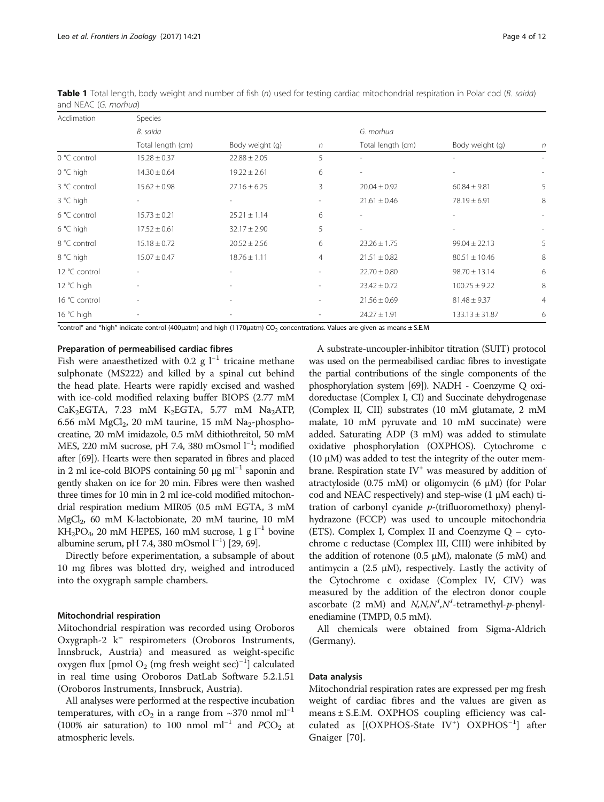| Acclimation        | Species                  |                  |            |                          |                    |                |
|--------------------|--------------------------|------------------|------------|--------------------------|--------------------|----------------|
|                    | B. saida                 |                  |            | G. morhua                |                    |                |
|                    | Total length (cm)        | Body weight (g)  | $\sqrt{n}$ | Total length (cm)        | Body weight (g)    | $\eta$         |
| 0 °C control       | $15.28 \pm 0.37$         | $22.88 \pm 2.05$ | 5          | $\overline{\phantom{a}}$ |                    |                |
| $0 °C$ high        | $14.30 \pm 0.64$         | $19.22 \pm 2.61$ | 6          | $\overline{\phantom{m}}$ |                    |                |
| 3 °C control       | $15.62 \pm 0.98$         | $27.16 \pm 6.25$ | 3          | $20.04 \pm 0.92$         | $60.84 \pm 9.81$   | 5              |
| 3 °C high          | $\overline{\phantom{a}}$ |                  |            | $21.61 \pm 0.46$         | $78.19 \pm 6.91$   | 8              |
| 6 °C control       | $15.73 \pm 0.21$         | $25.21 \pm 1.14$ | 6          | $\overline{\phantom{a}}$ |                    |                |
| $6^{\circ}$ C high | $17.52 \pm 0.61$         | $32.17 \pm 2.90$ | 5          | $\sim$                   |                    |                |
| 8 °C control       | $15.18 \pm 0.72$         | $20.52 \pm 2.56$ | 6          | $23.26 \pm 1.75$         | $99.04 \pm 22.13$  | 5              |
| 8 °C high          | $15.07 \pm 0.47$         | $18.76 \pm 1.11$ | 4          | $21.51 \pm 0.82$         | $80.51 \pm 10.46$  | 8              |
| 12 °C control      |                          |                  |            | $22.70 \pm 0.80$         | $98.70 \pm 13.14$  | 6              |
| 12 °C high         |                          |                  | ۰          | $23.42 \pm 0.72$         | $100.75 \pm 9.22$  | 8              |
| 16 °C control      |                          |                  |            | $21.56 \pm 0.69$         | $81.48 \pm 9.37$   | $\overline{4}$ |
| $16 °C$ high       |                          |                  |            | $24.27 \pm 1.91$         | $133.13 \pm 31.87$ | 6              |

<span id="page-3-0"></span>Table 1 Total length, body weight and number of fish (n) used for testing cardiac mitochondrial respiration in Polar cod (B. saida) and NEAC (G. morhua)

"control" and "high" indicate control (400µatm) and high (1170µatm) CO<sub>2</sub> concentrations. Values are given as means ± S.E.M

### Preparation of permeabilised cardiac fibres

Fish were anaesthetized with 0.2 g  $l^{-1}$  tricaine methane sulphonate (MS222) and killed by a spinal cut behind the head plate. Hearts were rapidly excised and washed with ice-cold modified relaxing buffer BIOPS (2.77 mM  $CaK<sub>2</sub>EGTA$ , 7.23 mM  $K<sub>2</sub>EGTA$ , 5.77 mM  $Na<sub>2</sub>ATP$ , 6.56 mM MgCl<sub>2</sub>, 20 mM taurine, 15 mM Na<sub>2</sub>-phosphocreatine, 20 mM imidazole, 0.5 mM dithiothreitol, 50 mM MES, 220 mM sucrose, pH 7.4, 380 mOsmol l<sup>-1</sup>; modified after [\[69\]](#page-10-0)). Hearts were then separated in fibres and placed in 2 ml ice-cold BIOPS containing 50 μg ml<sup>-1</sup> saponin and gently shaken on ice for 20 min. Fibres were then washed three times for 10 min in 2 ml ice-cold modified mitochondrial respiration medium MIR05 (0.5 mM EGTA, 3 mM MgCl2, 60 mM K-lactobionate, 20 mM taurine, 10 mM KH<sub>2</sub>PO<sub>4</sub>, 20 mM HEPES, 160 mM sucrose, 1 g l<sup>-1</sup> bovine albumine serum, pH 7.4, 380 mOsmol  $l^{-1}$ ) [\[29,](#page-9-0) [69\]](#page-10-0).

Directly before experimentation, a subsample of about 10 mg fibres was blotted dry, weighed and introduced into the oxygraph sample chambers.

### Mitochondrial respiration

Mitochondrial respiration was recorded using Oroboros Oxygraph-2 k™ respirometers (Oroboros Instruments, Innsbruck, Austria) and measured as weight-specific oxygen flux [pmol  $O_2$  (mg fresh weight sec)<sup>-1</sup>] calculated in real time using Oroboros DatLab Software 5.2.1.51 (Oroboros Instruments, Innsbruck, Austria).

All analyses were performed at the respective incubation temperatures, with  $cO_2$  in a range from ~370 nmol ml<sup>-1</sup> (100% air saturation) to 100 nmol ml<sup>-1</sup> and PCO<sub>2</sub> at atmospheric levels.

A substrate-uncoupler-inhibitor titration (SUIT) protocol was used on the permeabilised cardiac fibres to investigate the partial contributions of the single components of the phosphorylation system [[69](#page-10-0)]). NADH - Coenzyme Q oxidoreductase (Complex I, CI) and Succinate dehydrogenase (Complex II, CII) substrates (10 mM glutamate, 2 mM malate, 10 mM pyruvate and 10 mM succinate) were added. Saturating ADP (3 mM) was added to stimulate oxidative phosphorylation (OXPHOS). Cytochrome c (10  $\mu$ M) was added to test the integrity of the outer membrane. Respiration state  $IV<sup>+</sup>$  was measured by addition of atractyloside (0.75 mM) or oligomycin (6 μM) (for Polar cod and NEAC respectively) and step-wise (1 μM each) titration of carbonyl cyanide  $p$ -(trifluoromethoxy) phenylhydrazone (FCCP) was used to uncouple mitochondria (ETS). Complex I, Complex II and Coenzyme Q – cytochrome c reductase (Complex III, CIII) were inhibited by the addition of rotenone (0.5 μM), malonate (5 mM) and antimycin a  $(2.5 \mu M)$ , respectively. Lastly the activity of the Cytochrome c oxidase (Complex IV, CIV) was measured by the addition of the electron donor couple ascorbate (2 mM) and  $N, N, N^1, N^1$ -tetramethyl-p-phenylenediamine (TMPD, 0.5 mM).

All chemicals were obtained from Sigma-Aldrich (Germany).

### Data analysis

Mitochondrial respiration rates are expressed per mg fresh weight of cardiac fibres and the values are given as means ± S.E.M. OXPHOS coupling efficiency was calculated as [(OXPHOS-State IV<sup>+</sup>) OXPHOS<sup>-1</sup>] after Gnaiger [[70\]](#page-10-0).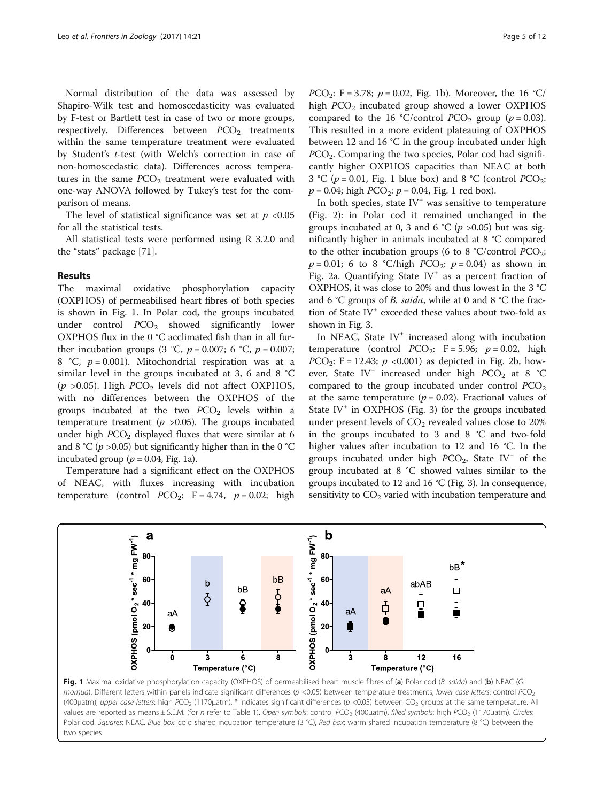Normal distribution of the data was assessed by Shapiro-Wilk test and homoscedasticity was evaluated by F-test or Bartlett test in case of two or more groups, respectively. Differences between  $PCO<sub>2</sub>$  treatments within the same temperature treatment were evaluated by Student's t-test (with Welch's correction in case of non-homoscedastic data). Differences across temperatures in the same  $PCO<sub>2</sub>$  treatment were evaluated with one-way ANOVA followed by Tukey's test for the comparison of means.

The level of statistical significance was set at  $p < 0.05$ for all the statistical tests.

All statistical tests were performed using R 3.2.0 and the "stats" package [[71](#page-10-0)].

### Results

The maximal oxidative phosphorylation capacity (OXPHOS) of permeabilised heart fibres of both species is shown in Fig. 1. In Polar cod, the groups incubated under control  $PCO<sub>2</sub>$  showed significantly lower OXPHOS flux in the 0 °C acclimated fish than in all further incubation groups (3 °C,  $p = 0.007$ ; 6 °C,  $p = 0.007$ ; 8 °C,  $p = 0.001$ ). Mitochondrial respiration was at a similar level in the groups incubated at 3, 6 and 8 °C ( $p > 0.05$ ). High  $PCO<sub>2</sub>$  levels did not affect OXPHOS, with no differences between the OXPHOS of the groups incubated at the two  $PCO<sub>2</sub>$  levels within a temperature treatment ( $p > 0.05$ ). The groups incubated under high  $PCO<sub>2</sub>$  displayed fluxes that were similar at 6 and 8 °C ( $p$  >0.05) but significantly higher than in the 0 °C incubated group ( $p = 0.04$ , Fig. 1a).

Temperature had a significant effect on the OXPHOS of NEAC, with fluxes increasing with incubation temperature (control  $PCO_2$ : F = 4.74,  $p = 0.02$ ; high

*PCO*<sub>2</sub>: F = 3.78;  $p = 0.02$ , Fig. 1b). Moreover, the 16 °C/ high  $PCO<sub>2</sub>$  incubated group showed a lower OXPHOS compared to the 16 °C/control  $PCO<sub>2</sub>$  group ( $p = 0.03$ ). This resulted in a more evident plateauing of OXPHOS between 12 and 16 °C in the group incubated under high  $PCO<sub>2</sub>$ . Comparing the two species, Polar cod had significantly higher OXPHOS capacities than NEAC at both 3 °C ( $p = 0.01$ , Fig. 1 blue box) and 8 °C (control PCO<sub>2</sub>:  $p = 0.04$ ; high  $PCO_2$ :  $p = 0.04$ , Fig. 1 red box).

In both species, state  $IV<sup>+</sup>$  was sensitive to temperature (Fig. [2](#page-5-0)): in Polar cod it remained unchanged in the groups incubated at 0, 3 and 6 °C ( $p > 0.05$ ) but was significantly higher in animals incubated at 8 °C compared to the other incubation groups (6 to 8 °C/control  $PCO_2$ :  $p = 0.01$ ; 6 to 8 °C/high *PCO*<sub>2</sub>:  $p = 0.04$ ) as shown in Fig. [2a](#page-5-0). Quantifying State IV<sup>+</sup> as a percent fraction of OXPHOS, it was close to 20% and thus lowest in the 3 °C and 6 °C groups of B. saida, while at 0 and 8 °C the fraction of State IV<sup>+</sup> exceeded these values about two-fold as shown in Fig. [3](#page-5-0).

In NEAC, State  $IV^+$  increased along with incubation temperature (control  $PCO_2$ : F = 5.96;  $p = 0.02$ , high  $PCO_2$ : F = 12.43;  $p \le 0.001$ ) as depicted in Fig. [2b,](#page-5-0) however, State IV<sup>+</sup> increased under high  $PCO<sub>2</sub>$  at 8 °C compared to the group incubated under control  $PCO<sub>2</sub>$ at the same temperature ( $p = 0.02$ ). Fractional values of State  $IV^+$  in OXPHOS (Fig. [3](#page-5-0)) for the groups incubated under present levels of  $CO<sub>2</sub>$  revealed values close to 20% in the groups incubated to 3 and 8 °C and two-fold higher values after incubation to 12 and 16 °C. In the groups incubated under high  $PCO<sub>2</sub>$ , State IV<sup>+</sup> of the group incubated at 8 °C showed values similar to the groups incubated to 12 and 16 °C (Fig. [3](#page-5-0)). In consequence, sensitivity to  $CO<sub>2</sub>$  varied with incubation temperature and



Fig. 1 Maximal oxidative phosphorylation capacity (OXPHOS) of permeabilised heart muscle fibres of (a) Polar cod (B. saida) and (b) NEAC (G. morhua). Different letters within panels indicate significant differences (p <0.05) between temperature treatments; lower case letters: control PCO<sub>2</sub> (400μatm), upper case letters: high PCO<sub>2</sub> (1170μatm), \* indicates significant differences (p <0.05) between CO<sub>2</sub> groups at the same temperature. All values are reported as means ± S.E.M. (for n refer to Table [1](#page-3-0)). Open symbols: control PCO<sub>2</sub> (400µatm), filled symbols: high PCO<sub>2</sub> (1170µatm). Circles: Polar cod, Squares: NEAC. Blue box: cold shared incubation temperature (3 °C), Red box: warm shared incubation temperature (8 °C) between the two species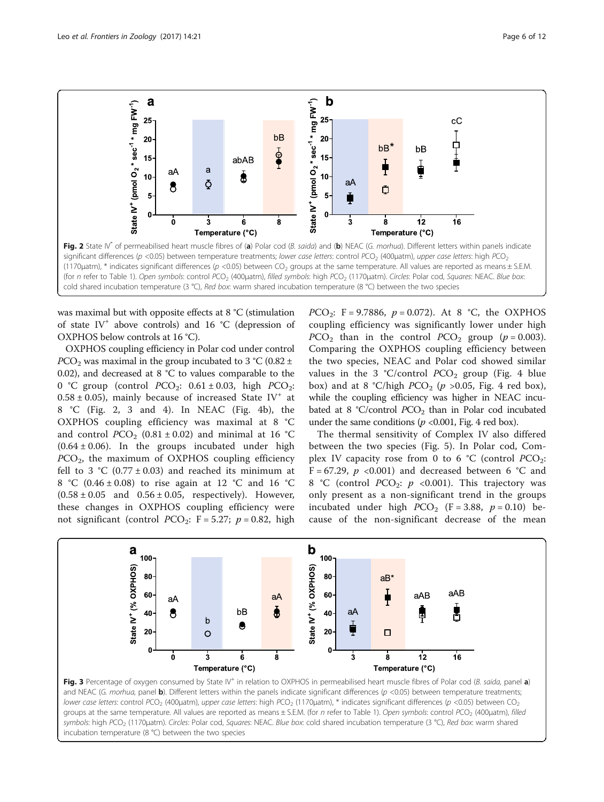<span id="page-5-0"></span>

was maximal but with opposite effects at 8 °C (stimulation of state IV<sup>+</sup> above controls) and 16 °C (depression of OXPHOS below controls at 16 °C).

OXPHOS coupling efficiency in Polar cod under control  $PCO<sub>2</sub>$  was maximal in the group incubated to 3 °C (0.82 ± 0.02), and decreased at 8 °C to values comparable to the 0 °C group (control  $PCO_2$ : 0.61 ± 0.03, high  $PCO_2$ :  $0.58 \pm 0.05$ ), mainly because of increased State IV<sup>+</sup> at 8 °C (Fig. 2, 3 and [4\)](#page-6-0). In NEAC (Fig. [4b\)](#page-6-0), the OXPHOS coupling efficiency was maximal at 8 °C and control  $PCO<sub>2</sub>$  (0.81 ± 0.02) and minimal at 16 °C  $(0.64 \pm 0.06)$ . In the groups incubated under high  $PCO<sub>2</sub>$ , the maximum of OXPHOS coupling efficiency fell to 3 °C (0.77  $\pm$  0.03) and reached its minimum at 8 °C (0.46 ± 0.08) to rise again at 12 °C and 16 °C  $(0.58 \pm 0.05)$  and  $0.56 \pm 0.05$ , respectively). However, these changes in OXPHOS coupling efficiency were not significant (control  $PCO_2$ : F = 5.27;  $p = 0.82$ , high *PCO*<sub>2</sub>: F = 9.7886,  $p = 0.072$ ). At 8 °C, the OXPHOS coupling efficiency was significantly lower under high  $PCO<sub>2</sub>$  than in the control  $PCO<sub>2</sub>$  group ( $p = 0.003$ ). Comparing the OXPHOS coupling efficiency between the two species, NEAC and Polar cod showed similar values in the 3 °C/control  $PCO<sub>2</sub>$  group (Fig. [4](#page-6-0) blue box) and at 8 °C/high  $PCO<sub>2</sub>$  (p >0.05, Fig. [4](#page-6-0) red box), while the coupling efficiency was higher in NEAC incubated at 8 °C/control  $PCO<sub>2</sub>$  than in Polar cod incubated under the same conditions ( $p \le 0.001$ , Fig. [4](#page-6-0) red box).

The thermal sensitivity of Complex IV also differed between the two species (Fig. [5](#page-6-0)). In Polar cod, Complex IV capacity rose from 0 to 6  $^{\circ}$ C (control PCO<sub>2</sub>: F = 67.29,  $p \le 0.001$ ) and decreased between 6 °C and 8 °C (control  $PCO_2$ :  $p \leq 0.001$ ). This trajectory was only present as a non-significant trend in the groups incubated under high  $PCO<sub>2</sub>$  (F = 3.88,  $p = 0.10$ ) because of the non-significant decrease of the mean



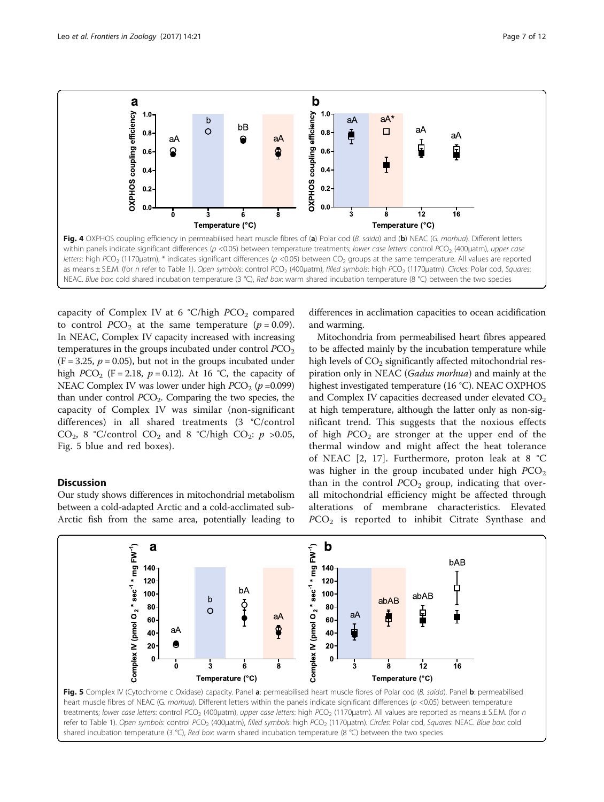<span id="page-6-0"></span>

capacity of Complex IV at 6  $°C/high PCO<sub>2</sub>$  compared to control  $PCO<sub>2</sub>$  at the same temperature ( $p = 0.09$ ). In NEAC, Complex IV capacity increased with increasing temperatures in the groups incubated under control  $PCO<sub>2</sub>$  $(F = 3.25, p = 0.05)$ , but not in the groups incubated under high  $PCO<sub>2</sub>$  (F = 2.18, p = 0.12). At 16 °C, the capacity of NEAC Complex IV was lower under high  $PCO<sub>2</sub>$  ( $p = 0.099$ ) than under control  $PCO<sub>2</sub>$ . Comparing the two species, the capacity of Complex IV was similar (non-significant differences) in all shared treatments (3 °C/control CO<sub>2</sub>, 8 °C/control CO<sub>2</sub> and 8 °C/high CO<sub>2</sub>:  $p > 0.05$ , Fig. 5 blue and red boxes).

### **Discussion**

Our study shows differences in mitochondrial metabolism between a cold-adapted Arctic and a cold-acclimated sub-Arctic fish from the same area, potentially leading to differences in acclimation capacities to ocean acidification and warming.

Mitochondria from permeabilised heart fibres appeared to be affected mainly by the incubation temperature while high levels of  $CO<sub>2</sub>$  significantly affected mitochondrial respiration only in NEAC (Gadus morhua) and mainly at the highest investigated temperature (16 °C). NEAC OXPHOS and Complex IV capacities decreased under elevated  $CO<sub>2</sub>$ at high temperature, although the latter only as non-significant trend. This suggests that the noxious effects of high  $PCO<sub>2</sub>$  are stronger at the upper end of the thermal window and might affect the heat tolerance of NEAC [\[2](#page-9-0), [17](#page-9-0)]. Furthermore, proton leak at 8 °C was higher in the group incubated under high  $PCO<sub>2</sub>$ than in the control  $PCO<sub>2</sub>$  group, indicating that overall mitochondrial efficiency might be affected through alterations of membrane characteristics. Elevated  $PCO<sub>2</sub>$  is reported to inhibit Citrate Synthase and

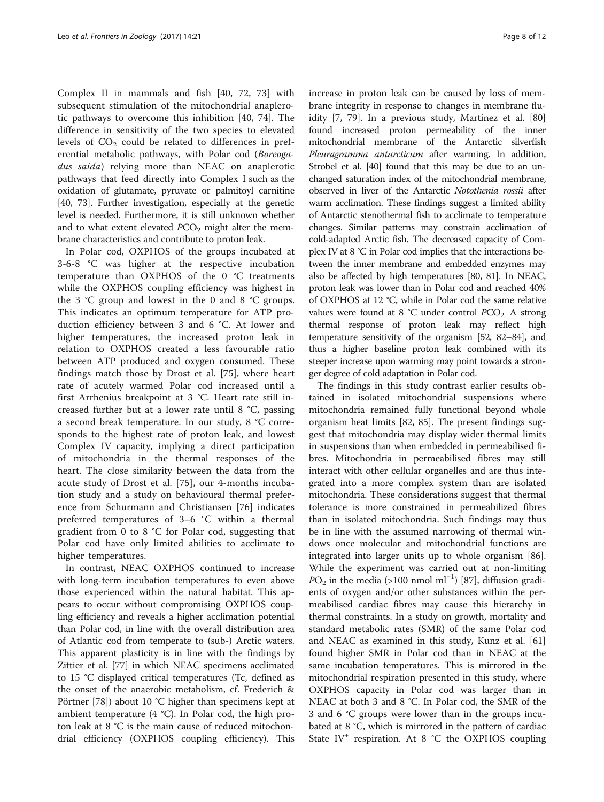Complex II in mammals and fish [\[40](#page-9-0), [72](#page-10-0), [73](#page-10-0)] with subsequent stimulation of the mitochondrial anaplerotic pathways to overcome this inhibition [\[40](#page-9-0), [74\]](#page-10-0). The difference in sensitivity of the two species to elevated levels of  $CO<sub>2</sub>$  could be related to differences in preferential metabolic pathways, with Polar cod (Boreogadus saida) relying more than NEAC on anaplerotic pathways that feed directly into Complex I such as the oxidation of glutamate, pyruvate or palmitoyl carnitine [[40](#page-9-0), [73](#page-10-0)]. Further investigation, especially at the genetic level is needed. Furthermore, it is still unknown whether and to what extent elevated  $PCO<sub>2</sub>$  might alter the membrane characteristics and contribute to proton leak.

In Polar cod, OXPHOS of the groups incubated at 3-6-8 °C was higher at the respective incubation temperature than OXPHOS of the 0 °C treatments while the OXPHOS coupling efficiency was highest in the 3 °C group and lowest in the 0 and 8 °C groups. This indicates an optimum temperature for ATP production efficiency between 3 and 6 °C. At lower and higher temperatures, the increased proton leak in relation to OXPHOS created a less favourable ratio between ATP produced and oxygen consumed. These findings match those by Drost et al. [\[75](#page-10-0)], where heart rate of acutely warmed Polar cod increased until a first Arrhenius breakpoint at 3 °C. Heart rate still increased further but at a lower rate until 8 °C, passing a second break temperature. In our study, 8 °C corresponds to the highest rate of proton leak, and lowest Complex IV capacity, implying a direct participation of mitochondria in the thermal responses of the heart. The close similarity between the data from the acute study of Drost et al. [[75](#page-10-0)], our 4-months incubation study and a study on behavioural thermal preference from Schurmann and Christiansen [\[76](#page-10-0)] indicates preferred temperatures of 3–6 °C within a thermal gradient from 0 to 8 °C for Polar cod, suggesting that Polar cod have only limited abilities to acclimate to higher temperatures.

In contrast, NEAC OXPHOS continued to increase with long-term incubation temperatures to even above those experienced within the natural habitat. This appears to occur without compromising OXPHOS coupling efficiency and reveals a higher acclimation potential than Polar cod, in line with the overall distribution area of Atlantic cod from temperate to (sub-) Arctic waters. This apparent plasticity is in line with the findings by Zittier et al. [[77](#page-10-0)] in which NEAC specimens acclimated to 15 °C displayed critical temperatures (Tc, defined as the onset of the anaerobic metabolism, cf. Frederich & Pörtner [\[78\]](#page-10-0)) about 10 °C higher than specimens kept at ambient temperature (4 °C). In Polar cod, the high proton leak at 8 °C is the main cause of reduced mitochondrial efficiency (OXPHOS coupling efficiency). This increase in proton leak can be caused by loss of membrane integrity in response to changes in membrane fluidity [[7,](#page-9-0) [79](#page-10-0)]. In a previous study, Martinez et al. [[80](#page-10-0)] found increased proton permeability of the inner mitochondrial membrane of the Antarctic silverfish Pleuragramma antarcticum after warming. In addition, Strobel et al. [\[40](#page-9-0)] found that this may be due to an unchanged saturation index of the mitochondrial membrane, observed in liver of the Antarctic Notothenia rossii after warm acclimation. These findings suggest a limited ability of Antarctic stenothermal fish to acclimate to temperature changes. Similar patterns may constrain acclimation of cold-adapted Arctic fish. The decreased capacity of Complex IV at 8 °C in Polar cod implies that the interactions between the inner membrane and embedded enzymes may also be affected by high temperatures [\[80, 81\]](#page-10-0). In NEAC, proton leak was lower than in Polar cod and reached 40% of OXPHOS at 12 °C, while in Polar cod the same relative values were found at  $8 °C$  under control  $PCO<sub>2</sub>$ . A strong thermal response of proton leak may reflect high temperature sensitivity of the organism [[52](#page-10-0), [82](#page-10-0)–[84](#page-10-0)], and thus a higher baseline proton leak combined with its steeper increase upon warming may point towards a stronger degree of cold adaptation in Polar cod.

The findings in this study contrast earlier results obtained in isolated mitochondrial suspensions where mitochondria remained fully functional beyond whole organism heat limits [[82, 85](#page-10-0)]. The present findings suggest that mitochondria may display wider thermal limits in suspensions than when embedded in permeabilised fibres. Mitochondria in permeabilised fibres may still interact with other cellular organelles and are thus integrated into a more complex system than are isolated mitochondria. These considerations suggest that thermal tolerance is more constrained in permeabilized fibres than in isolated mitochondria. Such findings may thus be in line with the assumed narrowing of thermal windows once molecular and mitochondrial functions are integrated into larger units up to whole organism [\[86](#page-11-0)]. While the experiment was carried out at non-limiting  $PO<sub>2</sub>$  in the media (>100 nmol ml<sup>-1</sup>) [[87](#page-11-0)], diffusion gradients of oxygen and/or other substances within the permeabilised cardiac fibres may cause this hierarchy in thermal constraints. In a study on growth, mortality and standard metabolic rates (SMR) of the same Polar cod and NEAC as examined in this study, Kunz et al. [[61](#page-10-0)] found higher SMR in Polar cod than in NEAC at the same incubation temperatures. This is mirrored in the mitochondrial respiration presented in this study, where OXPHOS capacity in Polar cod was larger than in NEAC at both 3 and 8 °C. In Polar cod, the SMR of the 3 and 6 °C groups were lower than in the groups incubated at 8 °C, which is mirrored in the pattern of cardiac State  $IV^+$  respiration. At 8 °C the OXPHOS coupling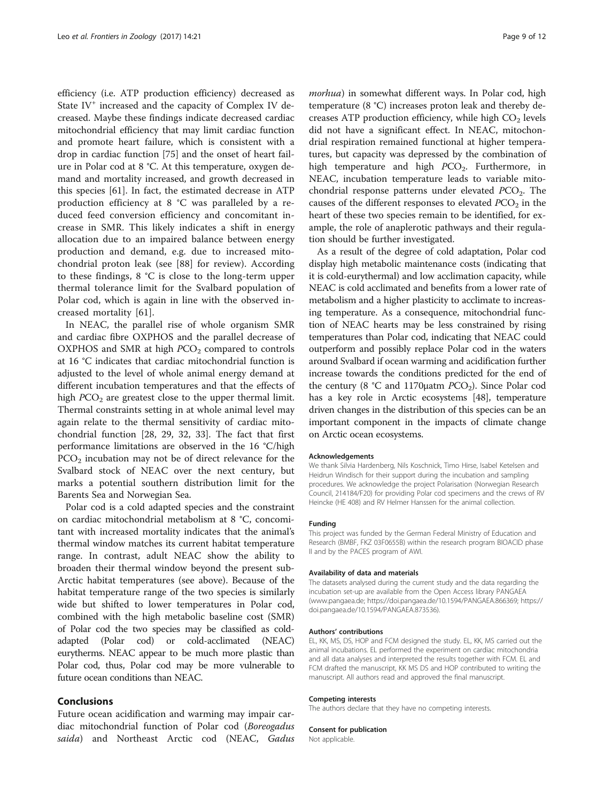efficiency (i.e. ATP production efficiency) decreased as State  $IV^+$  increased and the capacity of Complex IV decreased. Maybe these findings indicate decreased cardiac mitochondrial efficiency that may limit cardiac function and promote heart failure, which is consistent with a drop in cardiac function [\[75](#page-10-0)] and the onset of heart failure in Polar cod at 8 °C. At this temperature, oxygen demand and mortality increased, and growth decreased in this species [[61](#page-10-0)]. In fact, the estimated decrease in ATP production efficiency at 8 °C was paralleled by a reduced feed conversion efficiency and concomitant increase in SMR. This likely indicates a shift in energy allocation due to an impaired balance between energy production and demand, e.g. due to increased mitochondrial proton leak (see [\[88](#page-11-0)] for review). According to these findings, 8 °C is close to the long-term upper thermal tolerance limit for the Svalbard population of Polar cod, which is again in line with the observed increased mortality [[61\]](#page-10-0).

In NEAC, the parallel rise of whole organism SMR and cardiac fibre OXPHOS and the parallel decrease of OXPHOS and SMR at high  $PCO<sub>2</sub>$  compared to controls at 16 °C indicates that cardiac mitochondrial function is adjusted to the level of whole animal energy demand at different incubation temperatures and that the effects of high  $PCO<sub>2</sub>$  are greatest close to the upper thermal limit. Thermal constraints setting in at whole animal level may again relate to the thermal sensitivity of cardiac mitochondrial function [\[28](#page-9-0), [29](#page-9-0), [32, 33\]](#page-9-0). The fact that first performance limitations are observed in the 16 °C/high  $PCO<sub>2</sub>$  incubation may not be of direct relevance for the Svalbard stock of NEAC over the next century, but marks a potential southern distribution limit for the Barents Sea and Norwegian Sea.

Polar cod is a cold adapted species and the constraint on cardiac mitochondrial metabolism at 8 °C, concomitant with increased mortality indicates that the animal's thermal window matches its current habitat temperature range. In contrast, adult NEAC show the ability to broaden their thermal window beyond the present sub-Arctic habitat temperatures (see above). Because of the habitat temperature range of the two species is similarly wide but shifted to lower temperatures in Polar cod, combined with the high metabolic baseline cost (SMR) of Polar cod the two species may be classified as coldadapted (Polar cod) or cold-acclimated (NEAC) eurytherms. NEAC appear to be much more plastic than Polar cod, thus, Polar cod may be more vulnerable to future ocean conditions than NEAC.

#### Conclusions

Future ocean acidification and warming may impair cardiac mitochondrial function of Polar cod (Boreogadus saida) and Northeast Arctic cod (NEAC, Gadus morhua) in somewhat different ways. In Polar cod, high temperature (8 °C) increases proton leak and thereby decreases ATP production efficiency, while high  $CO<sub>2</sub>$  levels did not have a significant effect. In NEAC, mitochondrial respiration remained functional at higher temperatures, but capacity was depressed by the combination of high temperature and high  $PCO<sub>2</sub>$ . Furthermore, in NEAC, incubation temperature leads to variable mitochondrial response patterns under elevated  $PCO<sub>2</sub>$ . The causes of the different responses to elevated  $PCO<sub>2</sub>$  in the heart of these two species remain to be identified, for example, the role of anaplerotic pathways and their regulation should be further investigated.

As a result of the degree of cold adaptation, Polar cod display high metabolic maintenance costs (indicating that it is cold-eurythermal) and low acclimation capacity, while NEAC is cold acclimated and benefits from a lower rate of metabolism and a higher plasticity to acclimate to increasing temperature. As a consequence, mitochondrial function of NEAC hearts may be less constrained by rising temperatures than Polar cod, indicating that NEAC could outperform and possibly replace Polar cod in the waters around Svalbard if ocean warming and acidification further increase towards the conditions predicted for the end of the century (8 °C and 1170 $\mu$ atm PCO<sub>2</sub>). Since Polar cod has a key role in Arctic ecosystems [\[48\]](#page-10-0), temperature driven changes in the distribution of this species can be an important component in the impacts of climate change on Arctic ocean ecosystems.

### Acknowledgements

We thank Silvia Hardenberg, Nils Koschnick, Timo Hirse, Isabel Ketelsen and Heidrun Windisch for their support during the incubation and sampling procedures. We acknowledge the project Polarisation (Norwegian Research Council, 214184/F20) for providing Polar cod specimens and the crews of RV Heincke (HE 408) and RV Helmer Hanssen for the animal collection.

#### Funding

This project was funded by the German Federal Ministry of Education and Research (BMBF, FKZ 03F0655B) within the research program BIOACID phase II and by the PACES program of AWI.

#### Availability of data and materials

The datasets analysed during the current study and the data regarding the incubation set-up are available from the Open Access library PANGAEA ([www.pangaea.de;](http://www.pangaea.de/)<https://doi.pangaea.de/10.1594/PANGAEA.866369>; [https://](https://doi.pangaea.de/10.1594/PANGAEA.873536) [doi.pangaea.de/10.1594/PANGAEA.873536\)](https://doi.pangaea.de/10.1594/PANGAEA.873536).

#### Authors' contributions

EL, KK, MS, DS, HOP and FCM designed the study. EL, KK, MS carried out the animal incubations. EL performed the experiment on cardiac mitochondria and all data analyses and interpreted the results together with FCM. EL and FCM drafted the manuscript, KK MS DS and HOP contributed to writing the manuscript. All authors read and approved the final manuscript.

#### Competing interests

The authors declare that they have no competing interests.

#### Consent for publication

Not applicable.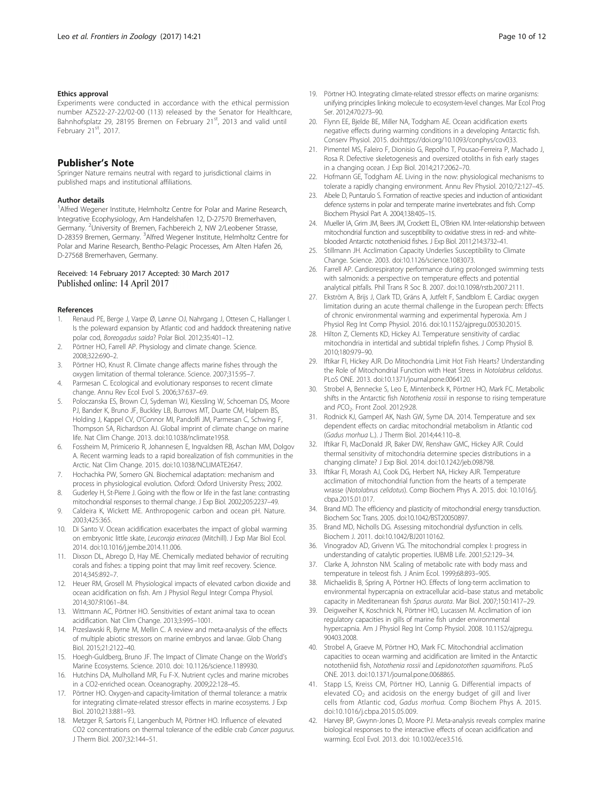#### <span id="page-9-0"></span>Ethics approval

Experiments were conducted in accordance with the ethical permission number AZ522-27-22/02-00 (113) released by the Senator for Healthcare, Bahnhofsplatz 29, 28195 Bremen on February 21<sup>st</sup>, 2013 and valid until February 21st, 2017.

#### Publisher's Note

Springer Nature remains neutral with regard to jurisdictional claims in published maps and institutional affiliations.

#### Author details

<sup>1</sup> Alfred Wegener Institute, Helmholtz Centre for Polar and Marine Research, Integrative Ecophysiology, Am Handelshafen 12, D-27570 Bremerhaven, Germany. <sup>2</sup>University of Bremen, Fachbereich 2, NW 2/Leobener Strasse, D-28359 Bremen, Germany. <sup>3</sup>Alfred Wegener Institute, Helmholtz Centre for Polar and Marine Research, Bentho-Pelagic Processes, Am Alten Hafen 26, D-27568 Bremerhaven, Germany.

#### Received: 14 February 2017 Accepted: 30 March 2017 Published online: 14 April 2017

#### References

- 1. Renaud PE, Berge J, Varpe Ø, Lønne OJ, Nahrgang J, Ottesen C, Hallanger I. Is the poleward expansion by Atlantic cod and haddock threatening native polar cod, Boreogadus saida? Polar Biol. 2012;35:401–12.
- Pörtner HO, Farrell AP. Physiology and climate change. Science. 2008;322:690–2.
- 3. Pörtner HO, Knust R. Climate change affects marine fishes through the oxygen limitation of thermal tolerance. Science. 2007;315:95–7.
- 4. Parmesan C. Ecological and evolutionary responses to recent climate change. Annu Rev Ecol Evol S. 2006;37:637–69.
- 5. Poloczanska ES, Brown CJ, Sydeman WJ, Kiessling W, Schoeman DS, Moore PJ, Bander K, Bruno JF, Buckley LB, Burrows MT, Duarte CM, Halpern BS, Holding J, Kappel CV, O'Connor MI, Pandolfi JM, Parmesan C, Schwing F, Thompson SA, Richardson AJ. Global imprint of climate change on marine life. Nat Clim Change. 2013. doi:[10.1038/nclimate1958.](http://dx.doi.org/10.1038/nclimate1958)
- 6. Fossheim M, Primicerio R, Johannesen E, Ingvaldsen RB, Aschan MM, Dolgov A. Recent warming leads to a rapid borealization of fish communities in the Arctic. Nat Clim Change. 2015. doi:[10.1038/NCLIMATE2647.](http://dx.doi.org/10.1038/NCLIMATE2647)
- 7. Hochachka PW, Somero GN. Biochemical adaptation: mechanism and process in physiological evolution. Oxford: Oxford University Press; 2002.
- 8. Guderley H, St-Pierre J. Going with the flow or life in the fast lane: contrasting mitochondrial responses to thermal change. J Exp Biol. 2002;205:2237–49.
- 9. Caldeira K, Wickett ME. Anthropogenic carbon and ocean pH. Nature. 2003;425:365.
- 10. Di Santo V. Ocean acidification exacerbates the impact of global warming on embryonic little skate, Leucoraja erinacea (Mitchill). J Exp Mar Biol Ecol. 2014. doi:[10.1016/j.jembe.2014.11.006.](http://dx.doi.org/10.1016/j.jembe.2014.11.006)
- 11. Dixson DL, Abrego D, Hay ME. Chemically mediated behavior of recruiting corals and fishes: a tipping point that may limit reef recovery. Science. 2014;345:892–7.
- 12. Heuer RM, Grosell M. Physiological impacts of elevated carbon dioxide and ocean acidification on fish. Am J Physiol Regul Integr Compa Physiol. 2014;307:R1061–84.
- 13. Wittmann AC, Pörtner HO. Sensitivities of extant animal taxa to ocean acidification. Nat Clim Change. 2013;3:995–1001.
- 14. Przeslawski R, Byrne M, Mellin C. A review and meta-analysis of the effects of multiple abiotic stressors on marine embryos and larvae. Glob Chang Biol. 2015;21:2122–40.
- 15. Hoegh-Guldberg, Bruno JF. The Impact of Climate Change on the World's Marine Ecosystems. Science. 2010. doi: [10.1126/science.1189930](http://dx.doi.org/10.1126/science.1189930).
- 16. Hutchins DA, Mulholland MR, Fu F-X. Nutrient cycles and marine microbes in a CO2-enriched ocean. Oceanography. 2009;22:128–45.
- 17. Pörtner HO. Oxygen-and capacity-limitation of thermal tolerance: a matrix for integrating climate-related stressor effects in marine ecosystems. J Exp Biol. 2010;213:881–93.
- 18. Metzger R, Sartoris FJ, Langenbuch M, Pörtner HO. Influence of elevated CO2 concentrations on thermal tolerance of the edible crab Cancer pagurus. J Therm Biol. 2007;32:144–51.
- 19. Pörtner HO. Integrating climate-related stressor effects on marine organisms: unifying principles linking molecule to ecosystem-level changes. Mar Ecol Prog Ser. 2012;470:273–90.
- 20. Flynn EE, Bjelde BE, Miller NA, Todgham AE. Ocean acidification exerts negative effects during warming conditions in a developing Antarctic fish. Conserv Physiol. 2015. doi[:https://doi.org/10.1093/conphys/cov033](https://doi.org/10.1093/conphys/cov033).
- 21. Pimentel MS, Faleiro F, Dionisio G, Repolho T, Pousao-Ferreira P, Machado J, Rosa R. Defective skeletogenesis and oversized otoliths in fish early stages in a changing ocean. J Exp Biol. 2014;217:2062–70.
- 22. Hofmann GE, Todgham AE. Living in the now: physiological mechanisms to tolerate a rapidly changing environment. Annu Rev Physiol. 2010;72:127–45.
- 23. Abele D, Puntarulo S, Formation of reactive species and induction of antioxidant defence systems in polar and temperate marine invertebrates and fish. Comp Biochem Physiol Part A. 2004;138:405–15.
- 24. Mueller IA, Grim JM, Beers JM, Crockett EL, O'Brien KM. Inter-relationship between mitochondrial function and susceptibility to oxidative stress in red- and whiteblooded Antarctic notothenioid fishes. J Exp Biol. 2011;214:3732–41.
- 25. Stillmann JH. Acclimation Capacity Underlies Susceptibility to Climate Change. Science. 2003. doi[:10.1126/science.1083073](http://dx.doi.org/10.1126/science.1083073).
- 26. Farrell AP. Cardiorespiratory performance during prolonged swimming tests with salmonids: a perspective on temperature effects and potential analytical pitfalls. Phil Trans R Soc B. 2007. doi[:10.1098/rstb.2007.2111.](http://dx.doi.org/10.1098/rstb.2007.2111)
- 27. Ekström A, Brijs J, Clark TD, Gräns A, Jutfelt F, Sandblom E. Cardiac oxygen limitation during an acute thermal challenge in the European perch: Effects of chronic environmental warming and experimental hyperoxia. Am J Physiol Reg Int Comp Physiol. 2016. doi[:10.1152/ajpregu.00530.2015.](http://dx.doi.org/10.1152/ajpregu.00530.2015)
- 28. Hilton Z, Clements KD, Hickey AJ. Temperature sensitivity of cardiac mitochondria in intertidal and subtidal triplefin fishes. J Comp Physiol B. 2010;180:979–90.
- 29. Iftikar FI, Hickey AJR. Do Mitochondria Limit Hot Fish Hearts? Understanding the Role of Mitochondrial Function with Heat Stress in Notolabrus celidotus. PLoS ONE. 2013. doi:[10.1371/journal.pone.0064120.](http://dx.doi.org/10.1371/journal.pone.0064120)
- 30. Strobel A, Bennecke S, Leo E, Mintenbeck K, Pörtner HO, Mark FC. Metabolic shifts in the Antarctic fish Notothenia rossii in response to rising temperature and PCO<sub>2</sub>. Front Zool. 2012;9:28.
- 31. Rodnick KJ, Gamperl AK, Nash GW, Syme DA. 2014. Temperature and sex dependent effects on cardiac mitochondrial metabolism in Atlantic cod (Gadus morhua L.). J Therm Biol. 2014;44:110–8.
- 32. Iftikar FI, MacDonald JR, Baker DW, Renshaw GMC, Hickey AJR. Could thermal sensitivity of mitochondria determine species distributions in a changing climate? J Exp Biol. 2014. doi:[10.1242/jeb.098798](http://dx.doi.org/10.1242/jeb.098798).
- 33. Iftikar FI, Morash AJ, Cook DG, Herbert NA, Hickey AJR. Temperature acclimation of mitochondrial function from the hearts of a temperate wrasse (Notolabrus celidotus). Comp Biochem Phys A. 2015. doi: [10.1016/j.](http://dx.doi.org/10.1016/j.cbpa.2015.01.017) [cbpa.2015.01.017](http://dx.doi.org/10.1016/j.cbpa.2015.01.017).
- 34. Brand MD. The efficiency and plasticity of mitochondrial energy transduction. Biochem Soc Trans. 2005. doi[:10.1042/BST20050897](http://dx.doi.org/10.1042/BST20050897).
- 35. Brand MD, Nicholls DG. Assessing mitochondrial dysfunction in cells. Biochem J. 2011. doi:[10.1042/BJ20110162](http://dx.doi.org/10.1042/BJ20110162).
- 36. Vinogradov AD, Grivenn VG. The mitochondrial complex I: progress in understanding of catalytic properties. IUBMB Life. 2001;52:129–34.
- 37. Clarke A, Johnston NM. Scaling of metabolic rate with body mass and temperature in teleost fish. J Anim Ecol. 1999;68:893–905.
- 38. Michaelidis B, Spring A, Pörtner HO. Effects of long-term acclimation to environmental hypercapnia on extracellular acid–base status and metabolic capacity in Mediterranean fish Sparus aurata. Mar Biol. 2007;150:1417–29.
- 39. Deigweiher K, Koschnick N, Pörtner HO, Lucassen M. Acclimation of ion regulatory capacities in gills of marine fish under environmental hypercapnia. Am J Physiol Reg Int Comp Physiol. 2008. [10.1152/ajpregu.](http://dx.doi.org/10.1152/ajpregu.90403.2008) [90403.2008.](http://dx.doi.org/10.1152/ajpregu.90403.2008)
- 40. Strobel A, Graeve M, Pörtner HO, Mark FC. Mitochondrial acclimation capacities to ocean warming and acidification are limited in the Antarctic nototheniid fish, Notothenia rossii and Lepidonotothen squamifrons. PLoS ONE. 2013. doi:[10.1371/journal.pone.0068865.](http://dx.doi.org/10.1371/journal.pone.0068865)
- 41. Stapp LS, Kreiss CM, Pörtner HO, Lannig G. Differential impacts of elevated  $CO<sub>2</sub>$  and acidosis on the energy budget of gill and liver cells from Atlantic cod, Gadus morhua. Comp Biochem Phys A. 2015. doi:[10.1016/j.cbpa.2015.05.009.](http://dx.doi.org/10.1016/j.cbpa.2015.05.009)
- 42. Harvey BP, Gwynn-Jones D, Moore PJ. Meta-analysis reveals complex marine biological responses to the interactive effects of ocean acidification and warming. Ecol Evol. 2013. doi: [10.1002/ece3.516](http://dx.doi.org/10.1002/ece3.516).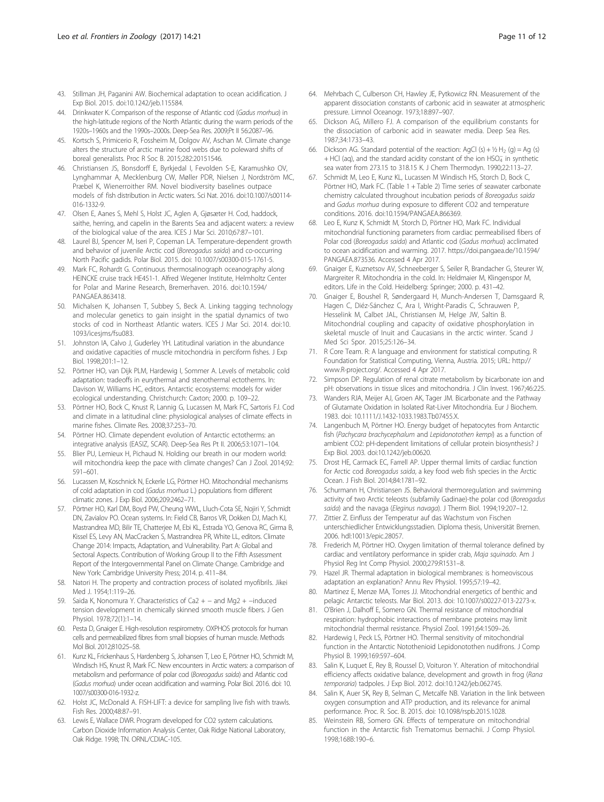- <span id="page-10-0"></span>43. Stillman JH, Paganini AW. Biochemical adaptation to ocean acidification. J Exp Biol. 2015. doi:[10.1242/jeb.115584](http://dx.doi.org/10.1242/jeb.115584).
- 44. Drinkwater K. Comparison of the response of Atlantic cod (Gadus morhua) in the high-latitude regions of the North Atlantic during the warm periods of the 1920s–1960s and the 1990s–2000s. Deep-Sea Res. 2009;Pt II 56:2087–96.
- 45. Kortsch S, Primicerio R, Fossheim M, Dolgov AV, Aschan M. Climate change alters the structure of arctic marine food webs due to poleward shifts of boreal generalists. Proc R Soc B. 2015;282:20151546.
- 46. Christiansen JS, Bonsdorff E, Byrkjedal I, Fevolden S-E, Karamushko OV, Lynghammar A, Mecklenburg CW, Møller PDR, Nielsen J, Nordström MC, Præbel K, Wienerroither RM. Novel biodiversity baselines outpace models of fish distribution in Arctic waters. Sci Nat. 2016. doi[:10.1007/s00114-](http://dx.doi.org/10.1007/s00114-016-1332-9) [016-1332-9](http://dx.doi.org/10.1007/s00114-016-1332-9).
- 47. Olsen E, Aanes S, Mehl S, Holst JC, Aglen A, Gjøsæter H. Cod, haddock, saithe, herring, and capelin in the Barents Sea and adjacent waters: a review of the biological value of the area. ICES J Mar Sci. 2010;67:87–101.
- 48. Laurel BJ, Spencer M, Iseri P, Copeman LA. Temperature-dependent growth and behavior of juvenile Arctic cod (Boreogadus saida) and co-occurring North Pacific gadids. Polar Biol. 2015. doi: [10.1007/s00300-015-1761-5.](http://dx.doi.org/10.1007/s00300-015-1761-5)
- 49. Mark FC, Rohardt G. Continuous thermosalinograph oceanography along HEINCKE cruise track HE451-1. Alfred Wegener Institute, Helmholtz Center for Polar and Marine Research, Bremerhaven. 2016. doi[:10.1594/](http://dx.doi.org/10.1594/PANGAEA.863418) [PANGAEA.863418.](http://dx.doi.org/10.1594/PANGAEA.863418)
- 50. Michalsen K, Johansen T, Subbey S, Beck A. Linking tagging technology and molecular genetics to gain insight in the spatial dynamics of two stocks of cod in Northeast Atlantic waters. ICES J Mar Sci. 2014. doi[:10.](http://dx.doi.org/10.1093/icesjms/fsu083) [1093/icesjms/fsu083.](http://dx.doi.org/10.1093/icesjms/fsu083)
- 51. Johnston IA, Calvo J, Guderley YH. Latitudinal variation in the abundance and oxidative capacities of muscle mitochondria in perciform fishes. J Exp Biol. 1998;201:1–12.
- 52. Pörtner HO, van Dijk PLM, Hardewig I, Sommer A. Levels of metabolic cold adaptation: tradeoffs in eurythermal and stenothermal ectotherms. In: Davison W, Williams HC, editors. Antarctic ecosystems: models for wider ecological understanding. Christchurch: Caxton; 2000. p. 109–22.
- 53. Pörtner HO, Bock C, Knust R, Lannig G, Lucassen M, Mark FC, Sartoris FJ. Cod and climate in a latitudinal cline: physiological analyses of climate effects in marine fishes. Climate Res. 2008;37:253–70.
- 54. Pörtner HO. Climate dependent evolution of Antarctic ectotherms: an integrative analysis (EASIZ, SCAR). Deep-Sea Res Pt II. 2006;53:1071–104.
- 55. Blier PU, Lemieux H, Pichaud N. Holding our breath in our modern world: will mitochondria keep the pace with climate changes? Can J Zool. 2014;92: 591–601.
- 56. Lucassen M, Koschnick N, Eckerle LG, Pörtner HO. Mitochondrial mechanisms of cold adaptation in cod (Gadus morhua L.) populations from different climatic zones. J Exp Biol. 2006;209:2462–71.
- 57. Pörtner HO, Karl DM, Boyd PW, Cheung WWL, Lluch-Cota SE, Nojiri Y, Schmidt DN, Zavialov PO. Ocean systems. In: Field CB, Barros VR, Dokken DJ, Mach KJ, Mastrandrea MD, Bilir TE, Chatterjee M, Ebi KL, Estrada YO, Genova RC, Girma B, Kissel ES, Levy AN, MacCracken S, Mastrandrea PR, White LL, editors. Climate Change 2014: Impacts, Adaptation, and Vulnerability. Part A: Global and Sectoral Aspects. Contribution of Working Group II to the Fifth Assessment Report of the Intergovernmental Panel on Climate Change. Cambridge and New York: Cambridge University Press; 2014. p. 411–84.
- 58. Natori H. The property and contraction process of isolated myofibrils. Jikei Med J. 1954;1:119–26.
- 59. Saida K, Nonomura Y. Characteristics of Ca2 + − and Mg2 + −induced tension development in chemically skinned smooth muscle fibers. J Gen Physiol. 1978;72(1):1–14.
- 60. Pesta D, Gnaiger E. High-resolution respirometry. OXPHOS protocols for human cells and permeabilized fibres from small biopsies of human muscle. Methods Mol Biol. 2012;810:25–58.
- 61. Kunz KL, Frickenhaus S, Hardenberg S, Johansen T, Leo E, Pörtner HO, Schmidt M, Windisch HS, Knust R, Mark FC. New encounters in Arctic waters: a comparison of metabolism and performance of polar cod (Boreogadus saida) and Atlantic cod (Gadus morhua) under ocean acidification and warming. Polar Biol. 2016. doi: [10.](http://dx.doi.org/10.1007/s00300-016-1932-z) [1007/s00300-016-1932-z](http://dx.doi.org/10.1007/s00300-016-1932-z).
- 62. Holst JC, McDonald A. FISH-LIFT: a device for sampling live fish with trawls. Fish Res. 2000;48:87–91.
- 63. Lewis E, Wallace DWR. Program developed for CO2 system calculations. Carbon Dioxide Information Analysis Center, Oak Ridge National Laboratory, Oak Ridge. 1998; TN. ORNL/CDIAC-105.
- 64. Mehrbach C, Culberson CH, Hawley JE, Pytkowicz RN. Measurement of the apparent dissociation constants of carbonic acid in seawater at atmospheric pressure. Limnol Oceanogr. 1973;18:897–907.
- 65. Dickson AG, Millero FJ. A comparison of the equilibrium constants for the dissociation of carbonic acid in seawater media. Deep Sea Res. 1987;34:1733–43.
- 66. Dickson AG. Standard potential of the reaction: AgCl (s) +  $1/2$  H<sub>2</sub> (g) = Ag (s) + HCl (aq), and the standard acidity constant of the ion HSO<sub>4</sub> in synthetic sea water from 273.15 to 318.15 K. J Chem Thermodyn. 1990;22:113–27.
- 67. Schmidt M, Leo E, Kunz KL, Lucassen M Windisch HS, Storch D, Bock C, Pörtner HO, Mark FC. (Table 1 + Table 2) Time series of seawater carbonate chemistry calculated throughout incubation periods of Boreogadus saida and Gadus morhua during exposure to different CO2 and temperature conditions. 2016. doi[:10.1594/PANGAEA.866369](http://dx.doi.org/10.1594/PANGAEA.866369).
- 68. Leo E, Kunz K, Schmidt M, Storch D, Pörtner HO, Mark FC. Individual mitochondrial functioning parameters from cardiac permeabilised fibers of Polar cod (Boreogadus saida) and Atlantic cod (Gadus morhua) acclimated to ocean acidification and warming. 2017. [https://doi.pangaea.de/10.1594/](https://doi.pangaea.de/10.1594/PANGAEA.873536) [PANGAEA.873536.](https://doi.pangaea.de/10.1594/PANGAEA.873536) Accessed 4 Apr 2017.
- 69. Gnaiger E, Kuznetsov AV, Schneeberger S, Seiler R, Brandacher G, Steurer W, Margreiter R. Mitochondria in the cold. In: Heldmaier M, Klingenspor M, editors. Life in the Cold. Heidelberg: Springer; 2000. p. 431–42.
- 70. Gnaiger E, Boushel R, Søndergaard H, Munch-Andersen T, Damsgaard R, Hagen C, Diéz-Sánchez C, Ara I, Wright-Paradis C, Schrauwen P, Hesselink M, Calbet JAL, Christiansen M, Helge JW, Saltin B. Mitochondrial coupling and capacity of oxidative phosphorylation in skeletal muscle of Inuit and Caucasians in the arctic winter. Scand J Med Sci Spor. 2015;25:126–34.
- 71. R Core Team. R: A language and environment for statistical computing. R Foundation for Statistical Computing, Vienna, Austria. 2015; URL: [http://](http://www.r-project.org/) [www.R-project.org/](http://www.r-project.org/). Accessed 4 Apr 2017.
- 72. Simpson DP. Regulation of renal citrate metabolism by bicarbonate ion and pH: observations in tissue slices and mitochondria. J Clin Invest. 1967;46:225.
- 73. Wanders RJA, Meijer AJ, Groen AK, Tager JM. Bicarbonate and the Pathway of Glutamate Oxidation in Isolated Rat-Liver Mitochondria. Eur J Biochem. 1983. doi: [10.1111/J.1432-1033.1983.Tb07455.X.](http://dx.doi.org/10.1111/J.1432-1033.1983.Tb07455.X)
- 74. Langenbuch M, Pörtner HO. Energy budget of hepatocytes from Antarctic fish (Pachycara brachycephalum and Lepidonotothen kempi) as a function of ambient CO2: pH-dependent limitations of cellular protein biosynthesis? J Exp Biol. 2003. doi:[10.1242/jeb.00620](http://dx.doi.org/10.1242/jeb.00620).
- 75. Drost HE, Carmack EC, Farrell AP. Upper thermal limits of cardiac function for Arctic cod Boreogadus saida, a key food web fish species in the Arctic Ocean. J Fish Biol. 2014;84:1781–92.
- 76. Schurmann H, Christiansen JS. Behavioral thermoregulation and swimming activity of two Arctic teleosts (subfamily Gadinae)-the polar cod (Boreogadus saida) and the navaga (Eleginus navaga). J Therm Biol. 1994;19:207–12.
- 77. Zittier Z. Einfluss der Temperatur auf das Wachstum von Fischen unterschiedlicher Entwicklungsstadien. Diploma thesis, Universität Bremen. 2006. hdl:10013/epic.28057.
- 78. Frederich M, Pörtner HO. Oxygen limitation of thermal tolerance defined by cardiac and ventilatory performance in spider crab, Maja squinado. Am J Physiol Reg Int Comp Physiol. 2000;279:R1531–8.
- 79. Hazel JR. Thermal adaptation in biological membranes: is homeoviscous adaptation an explanation? Annu Rev Physiol. 1995;57:19–42.
- 80. Martinez E, Menze MA, Torres JJ. Mitochondrial energetics of benthic and pelagic Antarctic teleosts. Mar Biol. 2013. doi: [10.1007/s00227-013-2273-x](http://dx.doi.org/10.1007/s00227-013-2273-x).
- 81. O'Brien J, Dalhoff E, Somero GN. Thermal resistance of mitochondrial respiration: hydrophobic interactions of membrane proteins may limit mitochondrial thermal resistance. Physiol Zool. 1991;64:1509–26.
- 82. Hardewig I, Peck LS, Pörtner HO. Thermal sensitivity of mitochondrial function in the Antarctic Notothenioid Lepidonotothen nudifrons. J Comp Physiol B. 1999;169:597–604.
- 83. Salin K, Luquet E, Rey B, Roussel D, Voituron Y. Alteration of mitochondrial efficiency affects oxidative balance, development and growth in frog (Rana temporaria) tadpoles. J Exp Biol. 2012. doi[:10.1242/jeb.062745.](http://dx.doi.org/10.1242/jeb.062745)
- 84. Salin K, Auer SK, Rey B, Selman C, Metcalfe NB. Variation in the link between oxygen consumption and ATP production, and its relevance for animal performance. Proc. R. Soc. B. 2015. doi: [10.1098/rspb.2015.1028](http://dx.doi.org/10.1098/rspb.2015.1028).
- 85. Weinstein RB, Somero GN. Effects of temperature on mitochondrial function in the Antarctic fish Trematomus bernachii. J Comp Physiol. 1998;168B:190–6.